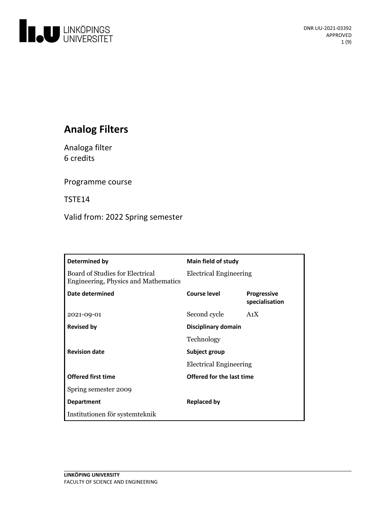

# **Analog Filters**

Analoga filter 6 credits

Programme course

TSTE14

Valid from: 2022 Spring semester

| Determined by                                                           | Main field of study           |                                      |
|-------------------------------------------------------------------------|-------------------------------|--------------------------------------|
| Board of Studies for Electrical<br>Engineering, Physics and Mathematics | <b>Electrical Engineering</b> |                                      |
| Date determined                                                         | Course level                  | <b>Progressive</b><br>specialisation |
| 2021-09-01                                                              | Second cycle                  | A <sub>1</sub> X                     |
| <b>Revised by</b>                                                       | Disciplinary domain           |                                      |
|                                                                         | Technology                    |                                      |
| <b>Revision date</b>                                                    | Subject group                 |                                      |
|                                                                         | <b>Electrical Engineering</b> |                                      |
| <b>Offered first time</b>                                               | Offered for the last time     |                                      |
| Spring semester 2009                                                    |                               |                                      |
| <b>Department</b>                                                       | <b>Replaced by</b>            |                                      |
| Institutionen för systemteknik                                          |                               |                                      |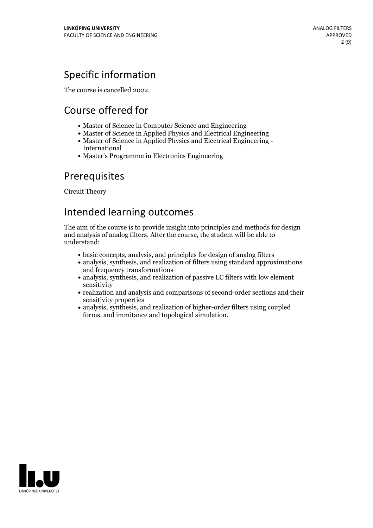## Specific information

The course is cancelled 2022.

# Course offered for

- Master of Science in Computer Science and Engineering
- Master of Science in Applied Physics and Electrical Engineering
- Master of Science in Applied Physics and Electrical Engineering International
- Master's Programme in Electronics Engineering

## Prerequisites

Circuit Theory

## Intended learning outcomes

The aim of the course is to provide insight into principles and methods for design and analysis of analog filters. After the course, the student will be able to understand:

- basic concepts, analysis, and principles for design of analog filters
- analysis, synthesis, and realization of filters using standard approximations and frequency transformations
- analysis, synthesis, and realization of passive LC filters with low element sensitivity
- realization and analysis and comparisons of second-order sections and their sensitivity properties
- analysis, synthesis, and realization of higher-order filters using coupled forms, and immitance and topological simulation.

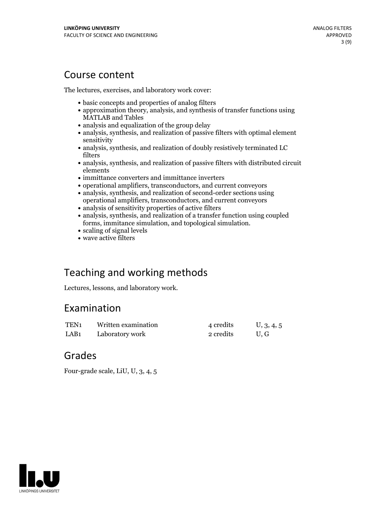## Course content

The lectures, exercises, and laboratory work cover:

- basic concepts and properties of analog filters
- approximation theory, analysis, and synthesis of transfer functions using MATLAB and Tables
- analysis and equalization of the group delay
- analysis, synthesis, and realization of passive filters with optimal element sensitivity
- analysis, synthesis, and realization of doubly resistively terminated LC filters
- analysis, synthesis, and realization of passive filters with distributed circuit elements
- immittance converters and immittance inverters
- operational amplifiers, transconductors, and current conveyors
- analysis, synthesis, and realization of second-order sections using operational amplifiers, transconductors, and current conveyors
- analysis of sensitivity properties of active filters
- analysis, synthesis, and realization of a transfer function using coupled forms, immitance simulation, and topological simulation.<br> $\bullet$  scaling of signal levels
- 
- wave active filters

## Teaching and working methods

Lectures, lessons, and laboratory work.

## Examination

| TEN <sub>1</sub> | Written examination | 4 credits | U, 3, 4, 5 |
|------------------|---------------------|-----------|------------|
| LAB <sub>1</sub> | Laboratory work     | 2 credits | U.G        |

## Grades

Four-grade scale, LiU, U, 3, 4, 5

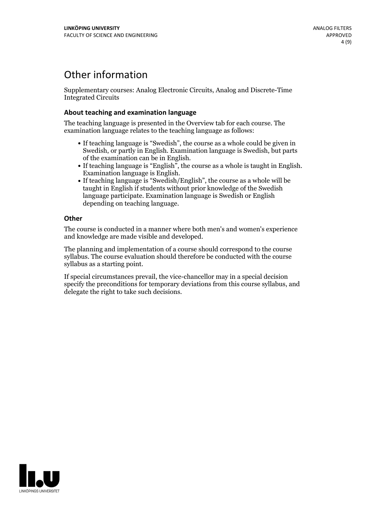## Other information

Supplementary courses: Analog Electronic Circuits, Analog and Discrete-Time Integrated Circuits

### **About teaching and examination language**

The teaching language is presented in the Overview tab for each course. The examination language relates to the teaching language as follows:

- If teaching language is "Swedish", the course as a whole could be given in Swedish, or partly in English. Examination language is Swedish, but parts
- of the examination can be in English. If teaching language is "English", the course as <sup>a</sup> whole is taught in English. Examination language is English. If teaching language is "Swedish/English", the course as <sup>a</sup> whole will be
- taught in English if students without prior knowledge of the Swedish language participate. Examination language is Swedish or English depending on teaching language.

### **Other**

The course is conducted in a manner where both men's and women's experience and knowledge are made visible and developed.

The planning and implementation of a course should correspond to the course syllabus. The course evaluation should therefore be conducted with the course syllabus as a starting point.

If special circumstances prevail, the vice-chancellor may in a special decision specify the preconditions for temporary deviations from this course syllabus, and delegate the right to take such decisions.

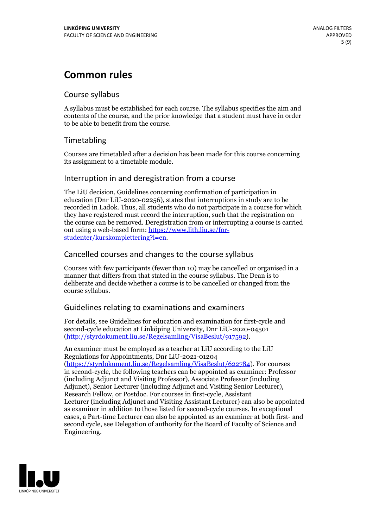## **Common rules**

### Course syllabus

A syllabus must be established for each course. The syllabus specifies the aim and contents of the course, and the prior knowledge that a student must have in order to be able to benefit from the course.

## Timetabling

Courses are timetabled after a decision has been made for this course concerning its assignment to a timetable module.

### Interruption in and deregistration from a course

The LiU decision, Guidelines concerning confirmation of participation in education (Dnr LiU-2020-02256), states that interruptions in study are to be recorded in Ladok. Thus, all students who do not participate in a course for which they have registered must record the interruption, such that the registration on the course can be removed. Deregistration from or interrupting a course is carried out using <sup>a</sup> web-based form: https://www.lith.liu.se/for- [studenter/kurskomplettering?l=en.](https://www.lith.liu.se/for-studenter/kurskomplettering?l=en)

## Cancelled courses and changes to the course syllabus

Courses with few participants (fewer than 10) may be cancelled or organised in a manner that differs from that stated in the course syllabus. The Dean is to deliberate and decide whether a course is to be cancelled or changed from the course syllabus.

## Guidelines relating to examinations and examiners

For details, see Guidelines for education and examination for first-cycle and second-cycle education at Linköping University, Dnr LiU-2020-04501 [\(http://styrdokument.liu.se/Regelsamling/VisaBeslut/917592\)](http://styrdokument.liu.se/Regelsamling/VisaBeslut/917592).

An examiner must be employed as a teacher at LiU according to the LiU Regulations for Appointments, Dnr LiU-2021-01204 [\(https://styrdokument.liu.se/Regelsamling/VisaBeslut/622784](https://styrdokument.liu.se/Regelsamling/VisaBeslut/622784)). For courses in second-cycle, the following teachers can be appointed as examiner: Professor (including Adjunct and Visiting Professor), Associate Professor (including Adjunct), Senior Lecturer (including Adjunct and Visiting Senior Lecturer), Research Fellow, or Postdoc. For courses in first-cycle, Assistant Lecturer (including Adjunct and Visiting Assistant Lecturer) can also be appointed as examiner in addition to those listed for second-cycle courses. In exceptional cases, a Part-time Lecturer can also be appointed as an examiner at both first- and second cycle, see Delegation of authority for the Board of Faculty of Science and Engineering.

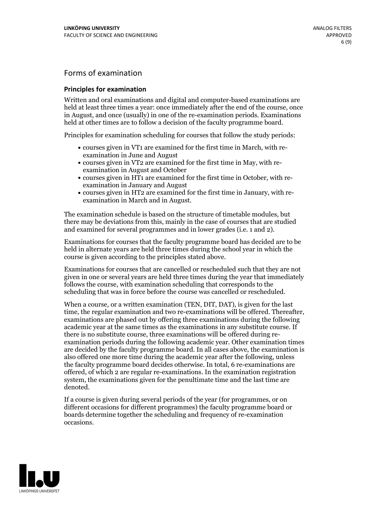## Forms of examination

#### **Principles for examination**

Written and oral examinations and digital and computer-based examinations are held at least three times a year: once immediately after the end of the course, once in August, and once (usually) in one of the re-examination periods. Examinations held at other times are to follow a decision of the faculty programme board.

Principles for examination scheduling for courses that follow the study periods:

- courses given in VT1 are examined for the first time in March, with re-examination in June and August
- courses given in VT2 are examined for the first time in May, with re-examination in August and October
- courses given in HT1 are examined for the first time in October, with re-examination in January and August
- courses given in HT2 are examined for the first time in January, with re-examination in March and in August.

The examination schedule is based on the structure of timetable modules, but there may be deviations from this, mainly in the case of courses that are studied and examined for several programmes and in lower grades (i.e. 1 and 2).

Examinations for courses that the faculty programme board has decided are to be held in alternate years are held three times during the school year in which the course is given according to the principles stated above.

Examinations for courses that are cancelled orrescheduled such that they are not given in one or several years are held three times during the year that immediately follows the course, with examination scheduling that corresponds to the scheduling that was in force before the course was cancelled or rescheduled.

When a course, or a written examination (TEN, DIT, DAT), is given for the last time, the regular examination and two re-examinations will be offered. Thereafter, examinations are phased out by offering three examinations during the following academic year at the same times as the examinations in any substitute course. If there is no substitute course, three examinations will be offered during re- examination periods during the following academic year. Other examination times are decided by the faculty programme board. In all cases above, the examination is also offered one more time during the academic year after the following, unless the faculty programme board decides otherwise. In total, 6 re-examinations are offered, of which 2 are regular re-examinations. In the examination registration system, the examinations given for the penultimate time and the last time are denoted.

If a course is given during several periods of the year (for programmes, or on different occasions for different programmes) the faculty programme board or boards determine together the scheduling and frequency of re-examination occasions.

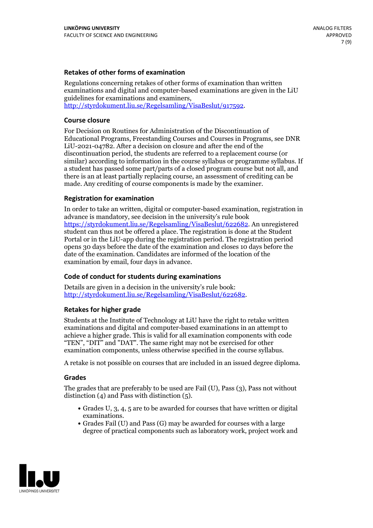### **Retakes of other forms of examination**

Regulations concerning retakes of other forms of examination than written examinations and digital and computer-based examinations are given in the LiU guidelines for examinations and examiners, [http://styrdokument.liu.se/Regelsamling/VisaBeslut/917592.](http://styrdokument.liu.se/Regelsamling/VisaBeslut/917592)

#### **Course closure**

For Decision on Routines for Administration of the Discontinuation of Educational Programs, Freestanding Courses and Courses in Programs, see DNR LiU-2021-04782. After a decision on closure and after the end of the discontinuation period, the students are referred to a replacement course (or similar) according to information in the course syllabus or programme syllabus. If a student has passed some part/parts of a closed program course but not all, and there is an at least partially replacing course, an assessment of crediting can be made. Any crediting of course components is made by the examiner.

### **Registration for examination**

In order to take an written, digital or computer-based examination, registration in advance is mandatory, see decision in the university's rule book [https://styrdokument.liu.se/Regelsamling/VisaBeslut/622682.](https://styrdokument.liu.se/Regelsamling/VisaBeslut/622682) An unregistered student can thus not be offered a place. The registration is done at the Student Portal or in the LiU-app during the registration period. The registration period opens 30 days before the date of the examination and closes 10 days before the date of the examination. Candidates are informed of the location of the examination by email, four days in advance.

### **Code of conduct for students during examinations**

Details are given in a decision in the university's rule book: <http://styrdokument.liu.se/Regelsamling/VisaBeslut/622682>.

#### **Retakes for higher grade**

Students at the Institute of Technology at LiU have the right to retake written examinations and digital and computer-based examinations in an attempt to achieve a higher grade. This is valid for all examination components with code "TEN", "DIT" and "DAT". The same right may not be exercised for other examination components, unless otherwise specified in the course syllabus.

A retake is not possible on courses that are included in an issued degree diploma.

#### **Grades**

The grades that are preferably to be used are Fail (U), Pass (3), Pass not without distinction  $(4)$  and Pass with distinction  $(5)$ .

- Grades U, 3, 4, 5 are to be awarded for courses that have written or digital examinations.<br>• Grades Fail (U) and Pass (G) may be awarded for courses with a large
- degree of practical components such as laboratory work, project work and

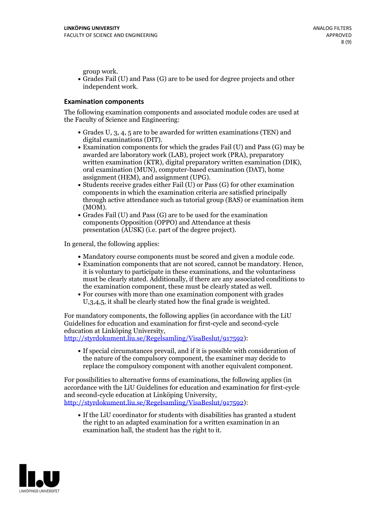group work.<br>• Grades Fail (U) and Pass (G) are to be used for degree projects and other independent work.

#### **Examination components**

The following examination components and associated module codes are used at the Faculty of Science and Engineering:

- Grades U, 3, 4, 5 are to be awarded for written examinations (TEN) and
- digital examinations (DIT).<br>• Examination components for which the grades Fail (U) and Pass (G) may be awarded are laboratory work (LAB), project work (PRA), preparatory written examination (KTR), digital preparatory written examination (DIK), oral examination (MUN), computer-based examination (DAT), home
- assignment (HEM), and assignment (UPG).<br>• Students receive grades either Fail (U) or Pass (G) for other examination components in which the examination criteria are satisfied principally through active attendance such as tutorial group (BAS) or examination item
- (MOM).<br>• Grades Fail (U) and Pass (G) are to be used for the examination components Opposition (OPPO) and Attendance at thesis presentation (AUSK) (i.e. part of the degree project).

In general, the following applies:

- 
- Mandatory course components must be scored and given <sup>a</sup> module code. Examination components that are not scored, cannot be mandatory. Hence, it is voluntary to participate in these examinations, and the voluntariness must be clearly stated. Additionally, if there are any associated conditions to
- the examination component, these must be clearly stated as well.<br>• For courses with more than one examination component with grades U,3,4,5, it shall be clearly stated how the final grade is weighted.

For mandatory components, the following applies (in accordance with the LiU Guidelines for education and examination for first-cycle and second-cycle education at Linköping University,<br>[http://styrdokument.liu.se/Regelsamling/VisaBeslut/917592\)](http://styrdokument.liu.se/Regelsamling/VisaBeslut/917592):

If special circumstances prevail, and if it is possible with consideration of the nature of the compulsory component, the examiner may decide to replace the compulsory component with another equivalent component.

For possibilities to alternative forms of examinations, the following applies (in accordance with the LiU Guidelines for education and examination for first-cycle [http://styrdokument.liu.se/Regelsamling/VisaBeslut/917592\)](http://styrdokument.liu.se/Regelsamling/VisaBeslut/917592):

If the LiU coordinator for students with disabilities has granted a student the right to an adapted examination for a written examination in an examination hall, the student has the right to it.